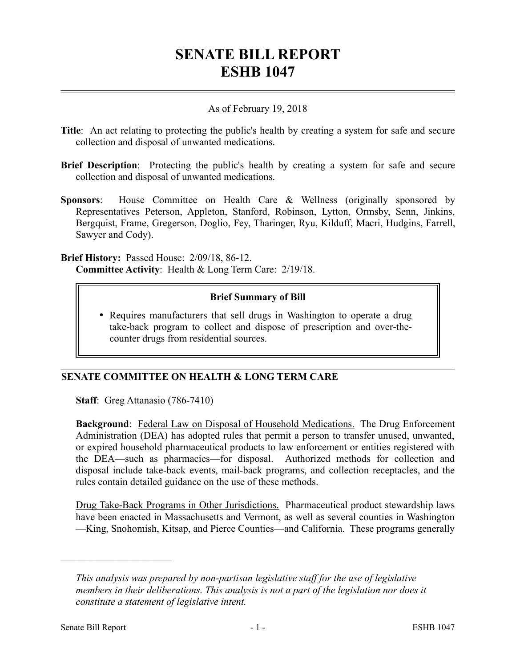## **SENATE BILL REPORT ESHB 1047**

## As of February 19, 2018

- **Title**: An act relating to protecting the public's health by creating a system for safe and secure collection and disposal of unwanted medications.
- **Brief Description**: Protecting the public's health by creating a system for safe and secure collection and disposal of unwanted medications.
- **Sponsors**: House Committee on Health Care & Wellness (originally sponsored by Representatives Peterson, Appleton, Stanford, Robinson, Lytton, Ormsby, Senn, Jinkins, Bergquist, Frame, Gregerson, Doglio, Fey, Tharinger, Ryu, Kilduff, Macri, Hudgins, Farrell, Sawyer and Cody).

**Brief History:** Passed House: 2/09/18, 86-12. **Committee Activity**: Health & Long Term Care: 2/19/18.

## **Brief Summary of Bill**

 Requires manufacturers that sell drugs in Washington to operate a drug take-back program to collect and dispose of prescription and over-thecounter drugs from residential sources.

## **SENATE COMMITTEE ON HEALTH & LONG TERM CARE**

**Staff**: Greg Attanasio (786-7410)

**Background**: Federal Law on Disposal of Household Medications. The Drug Enforcement Administration (DEA) has adopted rules that permit a person to transfer unused, unwanted, or expired household pharmaceutical products to law enforcement or entities registered with the DEA—such as pharmacies—for disposal. Authorized methods for collection and disposal include take-back events, mail-back programs, and collection receptacles, and the rules contain detailed guidance on the use of these methods.

Drug Take-Back Programs in Other Jurisdictions. Pharmaceutical product stewardship laws have been enacted in Massachusetts and Vermont, as well as several counties in Washington —King, Snohomish, Kitsap, and Pierce Counties—and California. These programs generally

––––––––––––––––––––––

*This analysis was prepared by non-partisan legislative staff for the use of legislative members in their deliberations. This analysis is not a part of the legislation nor does it constitute a statement of legislative intent.*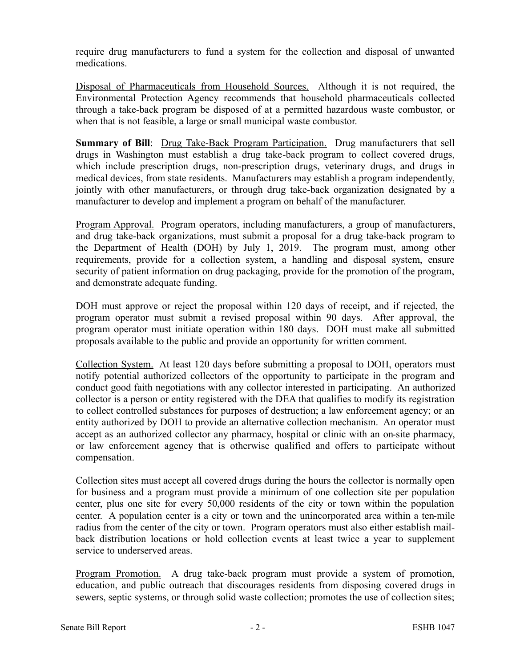require drug manufacturers to fund a system for the collection and disposal of unwanted medications.

Disposal of Pharmaceuticals from Household Sources. Although it is not required, the Environmental Protection Agency recommends that household pharmaceuticals collected through a take-back program be disposed of at a permitted hazardous waste combustor, or when that is not feasible, a large or small municipal waste combustor.

**Summary of Bill:** Drug Take-Back Program Participation. Drug manufacturers that sell drugs in Washington must establish a drug take-back program to collect covered drugs, which include prescription drugs, non-prescription drugs, veterinary drugs, and drugs in medical devices, from state residents. Manufacturers may establish a program independently, jointly with other manufacturers, or through drug take-back organization designated by a manufacturer to develop and implement a program on behalf of the manufacturer.

Program Approval. Program operators, including manufacturers, a group of manufacturers, and drug take-back organizations, must submit a proposal for a drug take-back program to the Department of Health (DOH) by July 1, 2019. The program must, among other requirements, provide for a collection system, a handling and disposal system, ensure security of patient information on drug packaging, provide for the promotion of the program, and demonstrate adequate funding.

DOH must approve or reject the proposal within 120 days of receipt, and if rejected, the program operator must submit a revised proposal within 90 days. After approval, the program operator must initiate operation within 180 days. DOH must make all submitted proposals available to the public and provide an opportunity for written comment.

Collection System. At least 120 days before submitting a proposal to DOH, operators must notify potential authorized collectors of the opportunity to participate in the program and conduct good faith negotiations with any collector interested in participating. An authorized collector is a person or entity registered with the DEA that qualifies to modify its registration to collect controlled substances for purposes of destruction; a law enforcement agency; or an entity authorized by DOH to provide an alternative collection mechanism. An operator must accept as an authorized collector any pharmacy, hospital or clinic with an on-site pharmacy, or law enforcement agency that is otherwise qualified and offers to participate without compensation.

Collection sites must accept all covered drugs during the hours the collector is normally open for business and a program must provide a minimum of one collection site per population center, plus one site for every 50,000 residents of the city or town within the population center. A population center is a city or town and the unincorporated area within a ten-mile radius from the center of the city or town. Program operators must also either establish mailback distribution locations or hold collection events at least twice a year to supplement service to underserved areas.

Program Promotion. A drug take-back program must provide a system of promotion, education, and public outreach that discourages residents from disposing covered drugs in sewers, septic systems, or through solid waste collection; promotes the use of collection sites;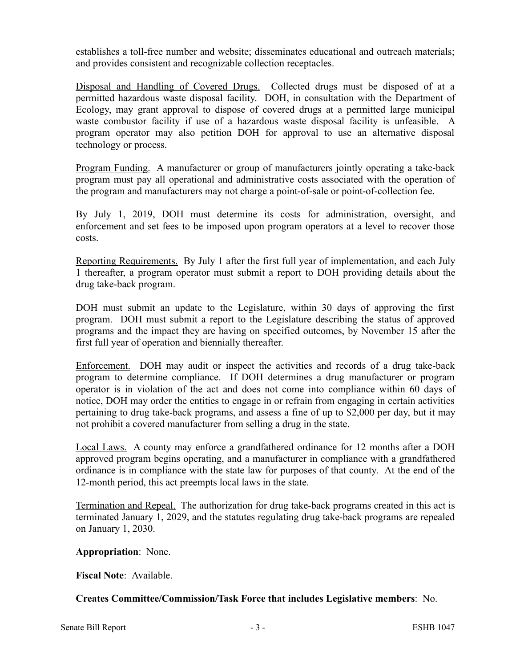establishes a toll-free number and website; disseminates educational and outreach materials; and provides consistent and recognizable collection receptacles.

Disposal and Handling of Covered Drugs. Collected drugs must be disposed of at a permitted hazardous waste disposal facility. DOH, in consultation with the Department of Ecology, may grant approval to dispose of covered drugs at a permitted large municipal waste combustor facility if use of a hazardous waste disposal facility is unfeasible. A program operator may also petition DOH for approval to use an alternative disposal technology or process.

Program Funding. A manufacturer or group of manufacturers jointly operating a take-back program must pay all operational and administrative costs associated with the operation of the program and manufacturers may not charge a point-of-sale or point-of-collection fee.

By July 1, 2019, DOH must determine its costs for administration, oversight, and enforcement and set fees to be imposed upon program operators at a level to recover those costs.

Reporting Requirements. By July 1 after the first full year of implementation, and each July 1 thereafter, a program operator must submit a report to DOH providing details about the drug take-back program.

DOH must submit an update to the Legislature, within 30 days of approving the first program. DOH must submit a report to the Legislature describing the status of approved programs and the impact they are having on specified outcomes, by November 15 after the first full year of operation and biennially thereafter.

Enforcement. DOH may audit or inspect the activities and records of a drug take-back program to determine compliance. If DOH determines a drug manufacturer or program operator is in violation of the act and does not come into compliance within 60 days of notice, DOH may order the entities to engage in or refrain from engaging in certain activities pertaining to drug take-back programs, and assess a fine of up to \$2,000 per day, but it may not prohibit a covered manufacturer from selling a drug in the state.

Local Laws. A county may enforce a grandfathered ordinance for 12 months after a DOH approved program begins operating, and a manufacturer in compliance with a grandfathered ordinance is in compliance with the state law for purposes of that county. At the end of the 12-month period, this act preempts local laws in the state.

Termination and Repeal. The authorization for drug take-back programs created in this act is terminated January 1, 2029, and the statutes regulating drug take-back programs are repealed on January 1, 2030.

**Appropriation**: None.

**Fiscal Note**: Available.

**Creates Committee/Commission/Task Force that includes Legislative members**: No.